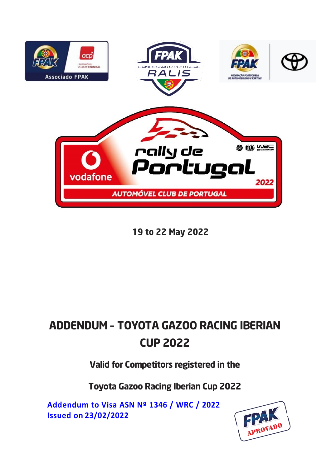

19 to 22 May 2022

# ADDENDUM – TOYOTA GAZOO RACING IBERIAN CUP 2022

Valid for Competitors registered in the

Toyota Gazoo Racing Iberian Cup 2022

**Addendum to Visa ASN Nº 1346 / WRC / 2022 Issued on 23/02/2022**

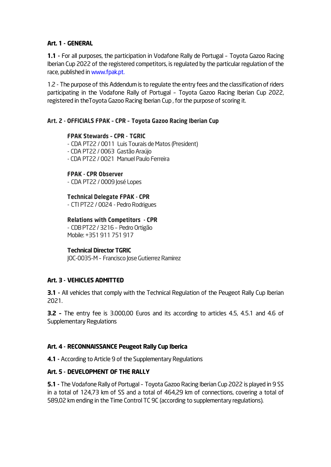## Art. 1 - GENERAL

1.1 - For all purposes, the participation in Vodafone Rally de Portugal – Toyota Gazoo Racing Iberian Cup 2022 of the registered competitors, is regulated by the particular regulation of the race, published in www.fpak.pt.

1.2 - The purpose of this Addendum is to regulate the entry fees and the classification of riders participating in the Vodafone Rally of Portugal – Toyota Gazoo Racing Iberian Cup 2022, registered in theToyota Gazoo Racing Iberian Cup , for the purpose of scoring it.

## Art. 2 - OFFICIALS FPAK – CPR – Toyota Gazoo Racing Iberian Cup

#### FPAK Stewards – CPR - TGRIC

- CDA PT22 / 0011 Luis Tourais de Matos (President) - CDA PT22 / 0063 Gastão Araújo - CDA PT22 / 0021 Manuel Paulo Ferreira

#### FPAK - CPR Observer

- CDA PT22 / 0009 José Lopes

#### Technical Delegate FPAK - CPR

- CTI PT22 / 0024 - Pedro Rodrigues

#### Relations with Competitors - CPR

- CDBPT22/ 3216 – Pedro Ortigão Mobile: +351911 751 917

#### Technical Director TGRIC

JOC-0035-M – Francisco Jose Gutierrez Ramirez

#### Art. 3 - VEHICLES ADMITTED

**3.1** - All vehicles that comply with the Technical Regulation of the Peugeot Rally Cup Iberian 2021.

3.2 – The entry fee is 3.000,00 Euros and its according to articles 4.5, 4.5.1 and 4.6 of Supplementary Regulations

## Art. 4 - RECONNAISSANCE Peugeot Rally Cup Iberica

4.1 - According to Article 9 of the Supplementary Regulations

#### Art. 5 - DEVELOPMENT OF THE RALLY

5.1 - The Vodafone Rally of Portugal - Toyota Gazoo Racing Iberian Cup 2022 is played in 9 SS in a total of 124,73 km of SS and a total of 464,29 km of connections, covering a total of 589,02 km ending in the Time Control TC 9C (according to supplementary regulations).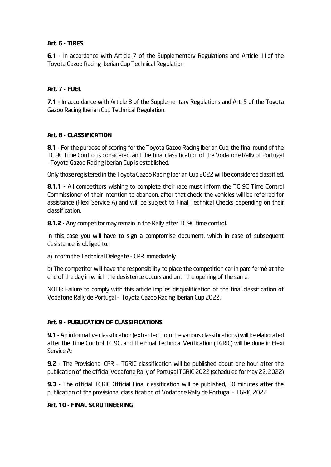# Art. 6 - TIRES

6.1 - In accordance with Article 7 of the Supplementary Regulations and Article 11of the Toyota Gazoo Racing Iberian Cup Technical Regulation

# Art. 7 - FUEL

7.1 - In accordance with Article 8 of the Supplementary Regulations and Art. 5 of the Toyota Gazoo Racing Iberian Cup Technical Regulation.

# Art. 8 - CLASSIFICATION

8.1 - For the purpose of scoring for the Toyota Gazoo Racing Iberian Cup, the final round of the TC 9C Time Control is considered, and the final classification of the Vodafone Rally of Portugal –Toyota Gazoo Racing Iberian Cup is established.

Only those registered in the Toyota Gazoo Racing Iberian Cup 2022 will be considered classified.

8.1.1 - All competitors wishing to complete their race must inform the TC 9C Time Control Commissioner of their intention to abandon, after that check, the vehicles will be referred for assistance (Flexi Service A) and will be subject to Final Technical Checks depending on their classification.

8.1.2 - Any competitor may remain in the Rally after TC 9C time control.

In this case you will have to sign a compromise document, which in case of subsequent desistance, is obliged to:

a) Inform the Technical Delegate - CPR immediately

b) The competitor will have the responsibility to place the competition car in parc fermé at the end of the day in which the desistence occurs and until the opening of the same.

NOTE: Failure to comply with this article implies disqualification of the final classification of Vodafone Rally de Portugal – Toyota Gazoo Racing Iberian Cup 2022.

## Art. 9 - PUBLICATION OF CLASSIFICATIONS

9.1 - An informative classification (extracted from the various classifications) will be elaborated after the Time Control TC 9C, and the Final Technical Verification (TGRIC) will be done in Flexi Service A;

9.2 - The Provisional CPR – TGRIC classification will be published about one hour after the publication of the official Vodafone Rally of Portugal TGRIC 2022 (scheduled for May 22, 2022)

9.3 - The official TGRIC Official Final classification will be published, 30 minutes after the publication of the provisional classification of Vodafone Rally de Portugal – TGRIC 2022

## Art. 10 - FINAL SCRUTINEERING